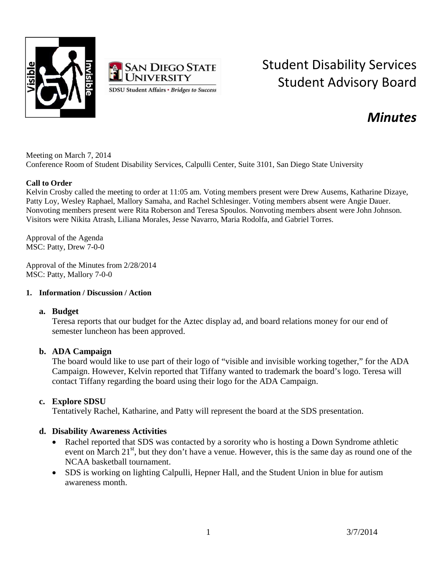



# Student Disability Services Student Advisory Board

# *Minutes*

Meeting on March 7, 2014 Conference Room of Student Disability Services, Calpulli Center, Suite 3101, San Diego State University

#### **Call to Order**

Kelvin Crosby called the meeting to order at 11:05 am. Voting members present were Drew Ausems, Katharine Dizaye, Patty Loy, Wesley Raphael, Mallory Samaha, and Rachel Schlesinger. Voting members absent were Angie Dauer. Nonvoting members present were Rita Roberson and Teresa Spoulos. Nonvoting members absent were John Johnson. Visitors were Nikita Atrash, Liliana Morales, Jesse Navarro, Maria Rodolfa, and Gabriel Torres.

Approval of the Agenda MSC: Patty, Drew 7-0-0

Approval of the Minutes from 2/28/2014 MSC: Patty, Mallory 7-0-0

#### **1. Information / Discussion / Action**

#### **a. Budget**

Teresa reports that our budget for the Aztec display ad, and board relations money for our end of semester luncheon has been approved.

#### **b. ADA Campaign**

The board would like to use part of their logo of "visible and invisible working together," for the ADA Campaign. However, Kelvin reported that Tiffany wanted to trademark the board's logo. Teresa will contact Tiffany regarding the board using their logo for the ADA Campaign.

#### **c. Explore SDSU**

Tentatively Rachel, Katharine, and Patty will represent the board at the SDS presentation.

#### **d. Disability Awareness Activities**

- Rachel reported that SDS was contacted by a sorority who is hosting a Down Syndrome athletic event on March  $21<sup>st</sup>$ , but they don't have a venue. However, this is the same day as round one of the NCAA basketball tournament.
- SDS is working on lighting Calpulli, Hepner Hall, and the Student Union in blue for autism awareness month.